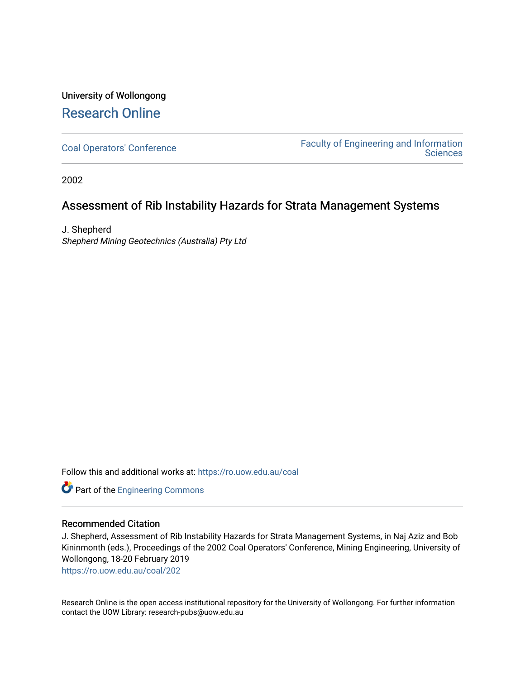## University of Wollongong [Research Online](https://ro.uow.edu.au/)

[Coal Operators' Conference](https://ro.uow.edu.au/coal) [Faculty of Engineering and Information](https://ro.uow.edu.au/eis)  **Sciences** 

2002

## Assessment of Rib Instability Hazards for Strata Management Systems

J. Shepherd Shepherd Mining Geotechnics (Australia) Pty Ltd

Follow this and additional works at: [https://ro.uow.edu.au/coal](https://ro.uow.edu.au/coal?utm_source=ro.uow.edu.au%2Fcoal%2F202&utm_medium=PDF&utm_campaign=PDFCoverPages) 

Part of the [Engineering Commons](http://network.bepress.com/hgg/discipline/217?utm_source=ro.uow.edu.au%2Fcoal%2F202&utm_medium=PDF&utm_campaign=PDFCoverPages)

#### Recommended Citation

J. Shepherd, Assessment of Rib Instability Hazards for Strata Management Systems, in Naj Aziz and Bob Kininmonth (eds.), Proceedings of the 2002 Coal Operators' Conference, Mining Engineering, University of Wollongong, 18-20 February 2019

[https://ro.uow.edu.au/coal/202](https://ro.uow.edu.au/coal/202?utm_source=ro.uow.edu.au%2Fcoal%2F202&utm_medium=PDF&utm_campaign=PDFCoverPages) 

Research Online is the open access institutional repository for the University of Wollongong. For further information contact the UOW Library: research-pubs@uow.edu.au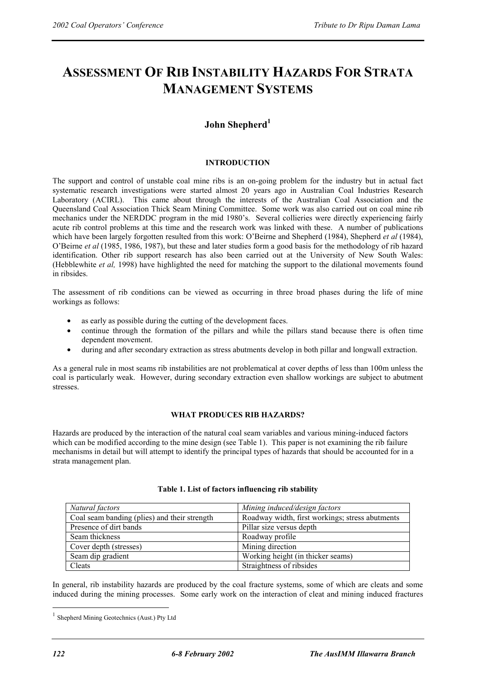# **ASSESSMENT OF RIB INSTABILITY HAZARDS FOR STRATA MANAGEMENT SYSTEMS**

### **John Shepherd<sup>1</sup>**

#### **INTRODUCTION**

The support and control of unstable coal mine ribs is an on-going problem for the industry but in actual fact systematic research investigations were started almost 20 years ago in Australian Coal Industries Research Laboratory (ACIRL). This came about through the interests of the Australian Coal Association and the Queensland Coal Association Thick Seam Mining Committee. Some work was also carried out on coal mine rib mechanics under the NERDDC program in the mid 1980's. Several collieries were directly experiencing fairly acute rib control problems at this time and the research work was linked with these. A number of publications which have been largely forgotten resulted from this work: O'Beirne and Shepherd (1984), Shepherd *et al* (1984), O'Beirne *et al* (1985, 1986, 1987), but these and later studies form a good basis for the methodology of rib hazard identification. Other rib support research has also been carried out at the University of New South Wales: (Hebblewhite *et al,* 1998) have highlighted the need for matching the support to the dilational movements found in ribsides.

The assessment of rib conditions can be viewed as occurring in three broad phases during the life of mine workings as follows:

- as early as possible during the cutting of the development faces.
- continue through the formation of the pillars and while the pillars stand because there is often time dependent movement.
- during and after secondary extraction as stress abutments develop in both pillar and longwall extraction.

As a general rule in most seams rib instabilities are not problematical at cover depths of less than 100m unless the coal is particularly weak. However, during secondary extraction even shallow workings are subject to abutment stresses.

#### **WHAT PRODUCES RIB HAZARDS?**

Hazards are produced by the interaction of the natural coal seam variables and various mining-induced factors which can be modified according to the mine design (see Table 1). This paper is not examining the rib failure mechanisms in detail but will attempt to identify the principal types of hazards that should be accounted for in a strata management plan.

| Natural factors                              | Mining induced/design factors                   |
|----------------------------------------------|-------------------------------------------------|
| Coal seam banding (plies) and their strength | Roadway width, first workings; stress abutments |
| Presence of dirt bands                       | Pillar size versus depth                        |
| Seam thickness                               | Roadway profile                                 |
| Cover depth (stresses)                       | Mining direction                                |
| Seam dip gradient                            | Working height (in thicker seams)               |
| Cleats                                       | Straightness of ribsides                        |

#### **Table 1. List of factors influencing rib stability**

In general, rib instability hazards are produced by the coal fracture systems, some of which are cleats and some induced during the mining processes. Some early work on the interaction of cleat and mining induced fractures

 $\overline{a}$ 

<sup>&</sup>lt;sup>1</sup> Shepherd Mining Geotechnics (Aust.) Pty Ltd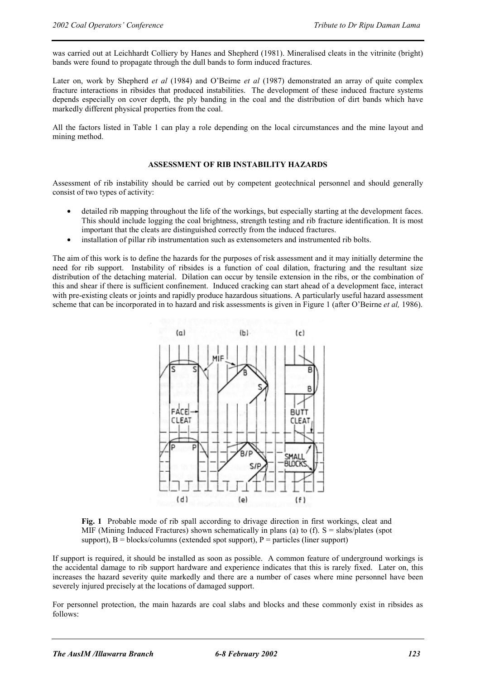was carried out at Leichhardt Colliery by Hanes and Shepherd (1981). Mineralised cleats in the vitrinite (bright) bands were found to propagate through the dull bands to form induced fractures.

Later on, work by Shepherd *et al* (1984) and O'Beirne *et al* (1987) demonstrated an array of quite complex fracture interactions in ribsides that produced instabilities. The development of these induced fracture systems depends especially on cover depth, the ply banding in the coal and the distribution of dirt bands which have markedly different physical properties from the coal.

All the factors listed in Table 1 can play a role depending on the local circumstances and the mine layout and mining method.

#### **ASSESSMENT OF RIB INSTABILITY HAZARDS**

Assessment of rib instability should be carried out by competent geotechnical personnel and should generally consist of two types of activity:

- detailed rib mapping throughout the life of the workings, but especially starting at the development faces. This should include logging the coal brightness, strength testing and rib fracture identification. It is most important that the cleats are distinguished correctly from the induced fractures.
- installation of pillar rib instrumentation such as extensometers and instrumented rib bolts.

The aim of this work is to define the hazards for the purposes of risk assessment and it may initially determine the need for rib support. Instability of ribsides is a function of coal dilation, fracturing and the resultant size distribution of the detaching material. Dilation can occur by tensile extension in the ribs, or the combination of this and shear if there is sufficient confinement. Induced cracking can start ahead of a development face, interact with pre-existing cleats or joints and rapidly produce hazardous situations. A particularly useful hazard assessment scheme that can be incorporated in to hazard and risk assessments is given in Figure 1 (after O'Beirne *et al,* 1986).



**Fig. 1** Probable mode of rib spall according to drivage direction in first workings, cleat and MIF (Mining Induced Fractures) shown schematically in plans (a) to (f).  $S =$  slabs/plates (spot support),  $B = \text{blocks/columes}$  (extended spot support),  $P = \text{particles}$  (liner support)

If support is required, it should be installed as soon as possible. A common feature of underground workings is the accidental damage to rib support hardware and experience indicates that this is rarely fixed. Later on, this increases the hazard severity quite markedly and there are a number of cases where mine personnel have been severely injured precisely at the locations of damaged support.

For personnel protection, the main hazards are coal slabs and blocks and these commonly exist in ribsides as follows: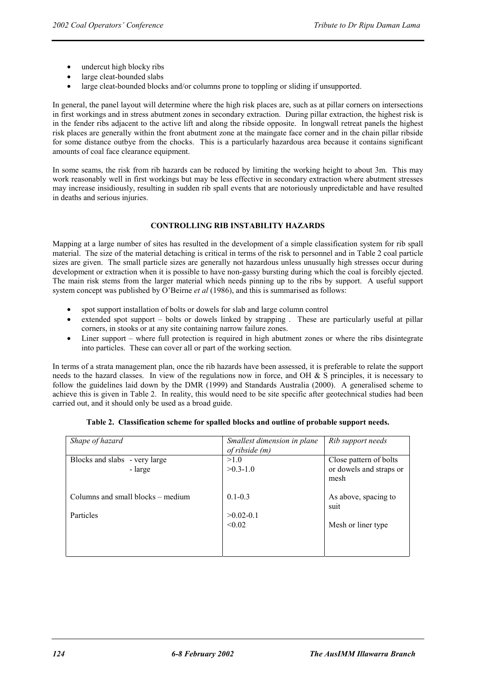- undercut high blocky ribs
- large cleat-bounded slabs
- large cleat-bounded blocks and/or columns prone to toppling or sliding if unsupported.

In general, the panel layout will determine where the high risk places are, such as at pillar corners on intersections in first workings and in stress abutment zones in secondary extraction. During pillar extraction, the highest risk is in the fender ribs adjacent to the active lift and along the ribside opposite. In longwall retreat panels the highest risk places are generally within the front abutment zone at the maingate face corner and in the chain pillar ribside for some distance outbye from the chocks. This is a particularly hazardous area because it contains significant amounts of coal face clearance equipment.

In some seams, the risk from rib hazards can be reduced by limiting the working height to about 3m. This may work reasonably well in first workings but may be less effective in secondary extraction where abutment stresses may increase insidiously, resulting in sudden rib spall events that are notoriously unpredictable and have resulted in deaths and serious injuries.

#### **CONTROLLING RIB INSTABILITY HAZARDS**

Mapping at a large number of sites has resulted in the development of a simple classification system for rib spall material. The size of the material detaching is critical in terms of the risk to personnel and in Table 2 coal particle sizes are given. The small particle sizes are generally not hazardous unless unusually high stresses occur during development or extraction when it is possible to have non-gassy bursting during which the coal is forcibly ejected. The main risk stems from the larger material which needs pinning up to the ribs by support. A useful support system concept was published by O'Beirne *et al* (1986), and this is summarised as follows:

- spot support installation of bolts or dowels for slab and large column control
- extended spot support bolts or dowels linked by strapping . These are particularly useful at pillar corners, in stooks or at any site containing narrow failure zones.
- Liner support where full protection is required in high abutment zones or where the ribs disintegrate into particles. These can cover all or part of the working section.

In terms of a strata management plan, once the rib hazards have been assessed, it is preferable to relate the support needs to the hazard classes. In view of the regulations now in force, and OH  $\&$  S principles, it is necessary to follow the guidelines laid down by the DMR (1999) and Standards Australia (2000). A generalised scheme to achieve this is given in Table 2. In reality, this would need to be site specific after geotechnical studies had been carried out, and it should only be used as a broad guide.

| Shape of hazard                                | Smallest dimension in plane<br>of ribside (m) | Rib support needs                                         |
|------------------------------------------------|-----------------------------------------------|-----------------------------------------------------------|
| Blocks and slabs - very large<br>- large       | >1.0<br>$>0.3 - 1.0$                          | Close pattern of bolts<br>or dowels and straps or<br>mesh |
| Columns and small blocks – medium<br>Particles | $0.1 - 0.3$<br>$>0.02 - 0.1$                  | As above, spacing to<br>suit                              |
|                                                | < 0.02                                        | Mesh or liner type                                        |

|  |  |  |  |  |  |  | Table 2. Classification scheme for spalled blocks and outline of probable support needs. |
|--|--|--|--|--|--|--|------------------------------------------------------------------------------------------|
|--|--|--|--|--|--|--|------------------------------------------------------------------------------------------|